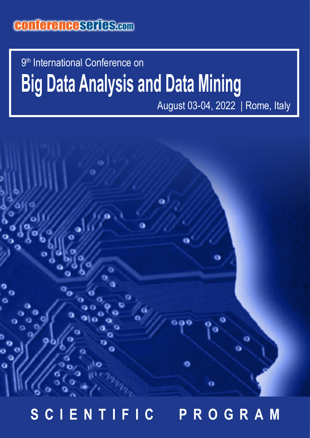## conferenceseries.com

# **Big Data Analysis and Data Mining** 9<sup>th</sup> International Conference on

August 03-04, 2022 | Rome, Italy



## **SCIENTIFIC PROGRAM**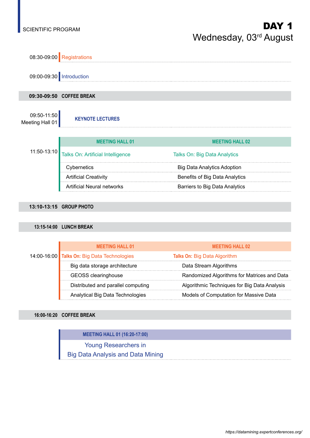

## **13:10-13:15 GROUP PHOTO**

## **13:15-14:00 LUNCH BREAK**

|  | <b>MEETING HALL 01</b>                      | <b>MEETING HALL 02</b>                       |
|--|---------------------------------------------|----------------------------------------------|
|  | 14:00-16:00 Talks On: Big Data Technologies | <b>Talks On: Big Data Algorithm</b>          |
|  | Big data storage architecture               | Data Stream Algorithms                       |
|  | <b>GEOSS</b> clearinghouse                  | Randomized Algorithms for Matrices and Data  |
|  | Distributed and parallel computing          | Algorithmic Techniques for Big Data Analysis |
|  | Analytical Big Data Technologies            | Models of Computation for Massive Data       |

### **16:00-16:20 COFFEE BREAK**

**MEETING HALL 01 (16:20-17:00)**

Young Researchers in

Big Data Analysis and Data Mining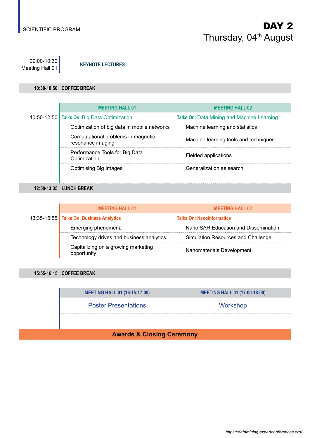09:00-10:30 Meeting Hall 01 **KEYNOTE LECTURES**

## **10:30-10:50 COFFEE BREAK**

|  | <b>MEETING HALL 01</b>                                  | <b>MEETING HALL 02</b>                     |
|--|---------------------------------------------------------|--------------------------------------------|
|  | 10:50-12:50 Talks On: Big Data Optimization             | Talks On: Data Mining and Machine Learning |
|  | Optimization of big data in mobile networks             | Machine learning and statistics            |
|  | Computational problems in magnetic<br>resonance imaging | Machine learning tools and techniques      |
|  | Performance Tools for Big Data<br>Optimization          | Fielded applications                       |
|  | <b>Optimising Big Images</b>                            | Generalization as search                   |
|  |                                                         |                                            |

**12:50-13:35 LUNCH BREAK**

|  | <b>MEETING HALL 01</b>                             | <b>MEETING HALL 02</b>               |
|--|----------------------------------------------------|--------------------------------------|
|  | 13:35-15:55 Talks On: Business Analytics           | <b>Talks On: Nanoinformatics</b>     |
|  | Emerging phenomena                                 | Nano SAR Education and Dissemination |
|  | Technology drives and business analytics           | Simulation Resources and Challenge   |
|  | Capitalizing on a growing marketing<br>opportunity | Nanomaterials Development            |

**15:55-16:15 COFFEE BREAK**

| <b>MEETING HALL 01 (16:15-17:00)</b> | <b>MEETING HALL 01 (17:00-18:00)</b> |
|--------------------------------------|--------------------------------------|
| <b>Poster Presentations</b>          | Workshop                             |
|                                      |                                      |

**Awards & Closing Ceremony**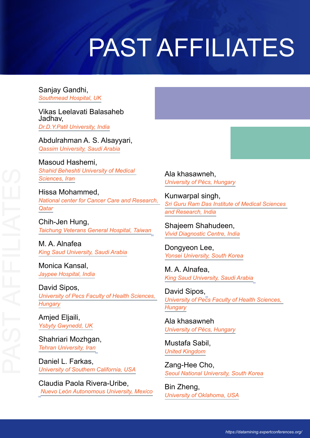# PAST AFFILIATES

Sanjay Gandhi, *Southmead Hospital, UK*

Vikas Leelavati Balasaheb Jadhav, *Dr.D.Y.Patil University, India*

Abdulrahman A. S. Alsayyari, *Qassim University, Saudi Arabia*

Masoud Hashemi, *Shahid Beheshti University of Medical Sciences, Iran*

Hissa Mohammed, *National center for Cancer Care and Research, Qatar*

Chih-Jen Hung, *Taichung Veterans General Hospital, Taiwan*

M. A. Alnafea *King Saud University, Saudi Arabia*

Monica Kansal, *Jaypee Hospital, India*

David Sipos, *University of Pecs Faculty of Health Sciences, Hungary*

Amjed Eljaili, *Ysbyty Gwynedd, UK*

Shahriari Mozhgan, *Tehran University, Iran*

Daniel L. Farkas, *University of Southern California, USA*

Claudia Paola Rivera-Uribe, *Nuevo León Autonomous University, Mexico* Ala khasawneh, *University of Pécs, Hungary*

Kunwarpal singh, *Sri Guru Ram Das Institute of Medical Sciences and Research, India*

Shajeem Shahudeen, *Vivid Diagnostic Centre, India*

Dongyeon Lee, *Yonsei University, South Korea*

M. A. Alnafea, *King Saud University, Saudi Arabia*

David Sipos, *University of Pecs Faculty of Health Sciences, Hungary*

Ala khasawneh *University of Pécs, Hungary*

Mustafa Sabil, *United Kingdom*

Zang-Hee Cho, *Seoul National University, South Korea*

Bin Zheng, *University of Oklahoma, USA*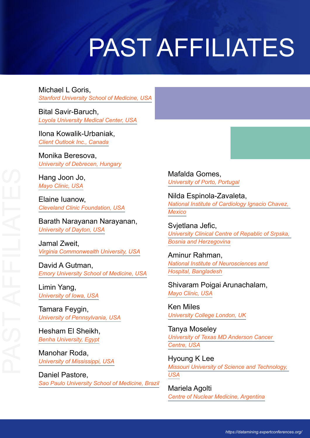# PAST AFFILIATES

Michael L Goris, *Stanford University School of Medicine, USA*

Bital Savir-Baruch, *Loyola University Medical Center, USA*

Ilona Kowalik-Urbaniak, *Client Outlook Inc., Canada*

Monika Beresova, *University of Debrecen, Hungary*

Hang Joon Jo, *Mayo Clinic, USA*

Elaine Iuanow, *Cleveland Clinic Foundation, USA*

Barath Narayanan Narayanan, *University of Dayton, USA*

Jamal Zweit, *Virginia Commonwealth University, USA*

David A Gutman, *Emory University School of Medicine, USA*

Limin Yang, *University of Iowa, USA*

Tamara Feygin, *University of Pennsylvania, USA*

Hesham El Sheikh, *Benha University, Egypt*

Manohar Roda, *University of Mississippi, USA*

Daniel Pastore, *Sao Paulo University School of Medicine, Brazil* Mafalda Gomes, *University of Porto, Portugal*

Nilda Espinola-Zavaleta, *National Institute of Cardiology Ignacio Chavez, Mexico*

Svjetlana Jefic, *University Clinical Centre of Repablic of Srpska, Bosnia and Herzegovina*

Aminur Rahman, *National Institute of Neurosciences and Hospital, Bangladesh*

Shivaram Poigai Arunachalam, *Mayo Clinic, USA*

Ken Miles *University College London, UK*

Tanya Moseley *University of Texas MD Anderson Cancer Centre, USA*

Hyoung K Lee *Missouri University of Science and Technology, USA*

Mariela Agolti *Centre of Nuclear Medicine, Argentina*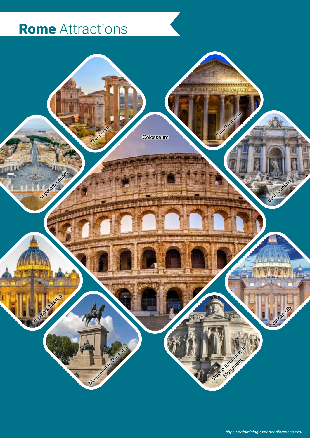## Rome Attractions